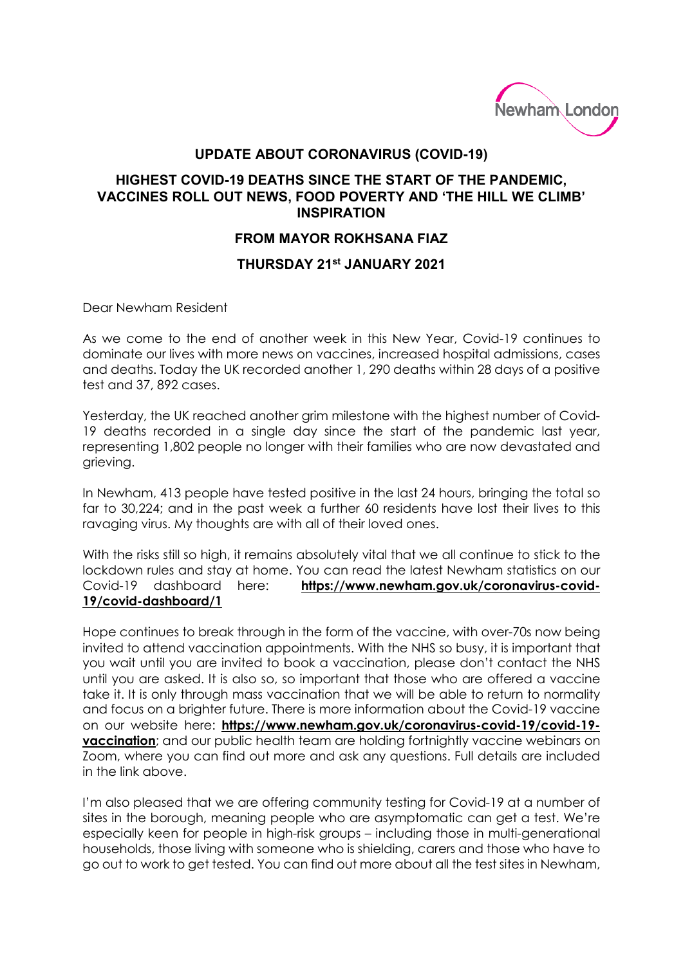

## **UPDATE ABOUT CORONAVIRUS (COVID-19)**

## **HIGHEST COVID-19 DEATHS SINCE THE START OF THE PANDEMIC, VACCINES ROLL OUT NEWS, FOOD POVERTY AND 'THE HILL WE CLIMB' INSPIRATION**

## **FROM MAYOR ROKHSANA FIAZ**

## **THURSDAY 21st JANUARY 2021**

Dear Newham Resident

As we come to the end of another week in this New Year, Covid-19 continues to dominate our lives with more news on vaccines, increased hospital admissions, cases and deaths. Today the UK recorded another 1, 290 deaths within 28 days of a positive test and 37, 892 cases.

Yesterday, the UK reached another grim milestone with the highest number of Covid-19 deaths recorded in a single day since the start of the pandemic last year, representing 1,802 people no longer with their families who are now devastated and grieving.

In Newham, 413 people have tested positive in the last 24 hours, bringing the total so far to 30,224; and in the past week a further 60 residents have lost their lives to this ravaging virus. My thoughts are with all of their loved ones.

With the risks still so high, it remains absolutely vital that we all continue to stick to the lockdown rules and stay at home. You can read the latest Newham statistics on our Covid-19 dashboard here: **https://www.newham.gov.uk/coronavirus-covid-19/covid-dashboard/1**

Hope continues to break through in the form of the vaccine, with over-70s now being invited to attend vaccination appointments. With the NHS so busy, it is important that you wait until you are invited to book a vaccination, please don't contact the NHS until you are asked. It is also so, so important that those who are offered a vaccine take it. It is only through mass vaccination that we will be able to return to normality and focus on a brighter future. There is more information about the Covid-19 vaccine on our website here: **[https://www.newham.gov.uk/coronavirus-covid-19/covid-19](https://www.newham.gov.uk/coronavirus-covid-19/covid-19-vaccination) [vaccination](https://www.newham.gov.uk/coronavirus-covid-19/covid-19-vaccination)**; and our public health team are holding fortnightly vaccine webinars on Zoom, where you can find out more and ask any questions. Full details are included in the link above.

I'm also pleased that we are offering community testing for Covid-19 at a number of sites in the borough, meaning people who are asymptomatic can get a test. We're especially keen for people in high-risk groups – including those in multi-generational households, those living with someone who is shielding, carers and those who have to go out to work to get tested. You can find out more about all the test sites in Newham,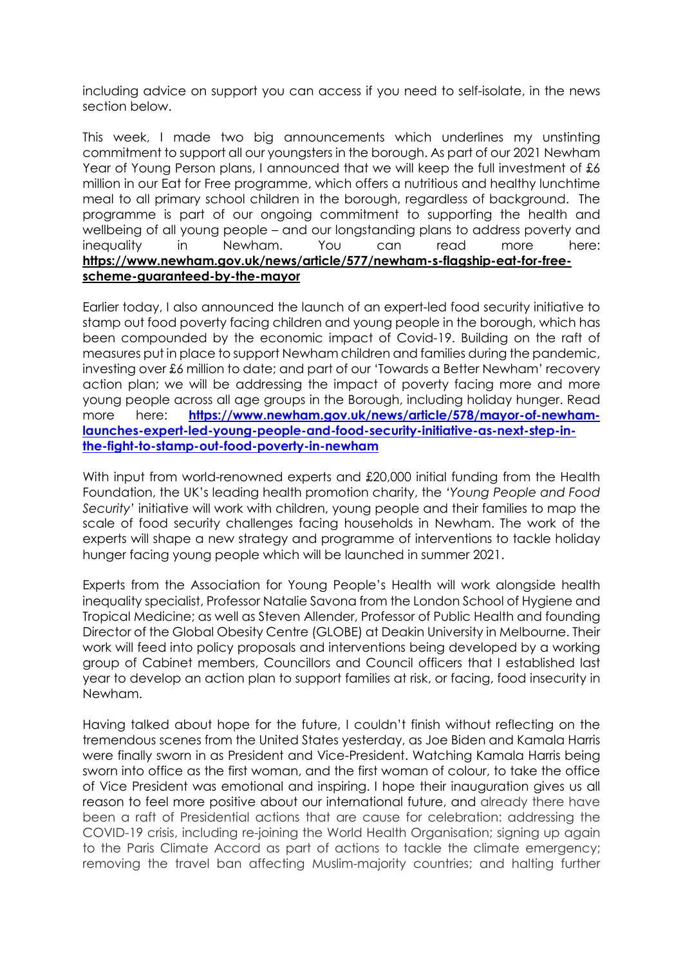including advice on support you can access if you need to self-isolate, in the news section below.

This week, I made two big announcements which underlines my unstinting commitment to support all our youngsters in the borough. As part of our 2021 Newham Year of Young Person plans, I announced that we will keep the full investment of £6 million in our Eat for Free programme, which offers a nutritious and healthy lunchtime meal to all primary school children in the borough, regardless of background. The programme is part of our ongoing commitment to supporting the health and wellbeing of all young people – and our longstanding plans to address poverty and inequality in Newham. You can read more here: **[https://www.newham.gov.uk/news/article/577/newham-s-flagship-eat-for-free](https://www.newham.gov.uk/news/article/577/newham-s-flagship-eat-for-free-scheme-guaranteed-by-the-mayor)[scheme-guaranteed-by-the-mayor](https://www.newham.gov.uk/news/article/577/newham-s-flagship-eat-for-free-scheme-guaranteed-by-the-mayor)**

Earlier today, I also announced the launch of an expert-led food security initiative to stamp out food poverty facing children and young people in the borough, which has been compounded by the economic impact of Covid-19. Building on the raft of measures put in place to support Newham children and families during the pandemic, investing over £6 million to date; and part of our 'Towards a Better Newham' recovery action plan; we will be addressing the impact of poverty facing more and more young people across all age groups in the Borough, including holiday hunger. Read more here: **[https://www.newham.gov.uk/news/article/578/mayor-of-newham](https://www.newham.gov.uk/news/article/578/mayor-of-newham-launches-expert-led-young-people-and-food-security-initiative-as-next-step-in-the-fight-to-stamp-out-food-poverty-in-newham)[launches-expert-led-young-people-and-food-security-initiative-as-next-step-in](https://www.newham.gov.uk/news/article/578/mayor-of-newham-launches-expert-led-young-people-and-food-security-initiative-as-next-step-in-the-fight-to-stamp-out-food-poverty-in-newham)[the-fight-to-stamp-out-food-poverty-in-newham](https://www.newham.gov.uk/news/article/578/mayor-of-newham-launches-expert-led-young-people-and-food-security-initiative-as-next-step-in-the-fight-to-stamp-out-food-poverty-in-newham)**

With input from world-renowned experts and £20,000 initial funding from the Health Foundation, the UK's leading health promotion charity, the *'Young People and Food Security'* initiative will work with children, young people and their families to map the scale of food security challenges facing households in Newham. The work of the experts will shape a new strategy and programme of interventions to tackle holiday hunger facing young people which will be launched in summer 2021.

Experts from the Association for Young People's Health will work alongside health inequality specialist, Professor Natalie Savona from the London School of Hygiene and Tropical Medicine; as well as Steven Allender, Professor of Public Health and founding Director of the Global Obesity Centre (GLOBE) at Deakin University in Melbourne. Their work will feed into policy proposals and interventions being developed by a working group of Cabinet members, Councillors and Council officers that I established last year to develop an action plan to support families at risk, or facing, food insecurity in Newham.

Having talked about hope for the future, I couldn't finish without reflecting on the tremendous scenes from the United States yesterday, as Joe Biden and Kamala Harris were finally sworn in as President and Vice-President. Watching Kamala Harris being sworn into office as the first woman, and the first woman of colour, to take the office of Vice President was emotional and inspiring. I hope their inauguration gives us all reason to feel more positive about our international future, and already there have been a raft of Presidential actions that are cause for celebration: addressing the COVID-19 crisis, including re-joining the World Health Organisation; signing up again to the Paris Climate Accord as part of actions to tackle the climate emergency; removing the travel ban affecting Muslim-majority countries; and halting further